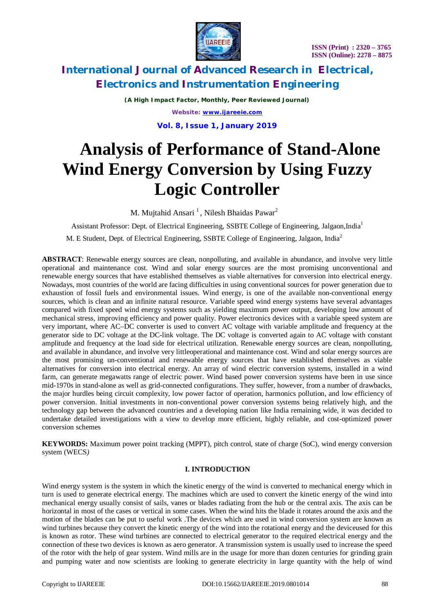



*(A High Impact Factor, Monthly, Peer Reviewed Journal) Website: [www.ijareeie.com](http://www.ijareeie.com)* **Vol. 8, Issue 1, January 2019**

# **Analysis of Performance of Stand-Alone Wind Energy Conversion by Using Fuzzy Logic Controller**

M. Mujtahid Ansari<sup>1</sup>, Nilesh Bhaidas Pawar<sup>2</sup>

Assistant Professor: Dept. of Electrical Engineering, SSBTE College of Engineering, Jalgaon,India<sup>1</sup>

M. E Student, Dept. of Electrical Engineering, SSBTE College of Engineering, Jalgaon, India<sup>2</sup>

**ABSTRACT**: Renewable energy sources are clean, nonpolluting, and available in abundance, and involve very little operational and maintenance cost. Wind and solar energy sources are the most promising unconventional and renewable energy sources that have established themselves as viable alternatives for conversion into electrical energy. Nowadays, most countries of the world are facing difficulties in using conventional sources for power generation due to exhaustion of fossil fuels and environmental issues. Wind energy, is one of the available non-conventional energy sources, which is clean and an infinite natural resource. Variable speed wind energy systems have several advantages compared with fixed speed wind energy systems such as yielding maximum power output, developing low amount of mechanical stress, improving efficiency and power quality. Power electronics devices with a variable speed system are very important, where AC–DC converter is used to convert AC voltage with variable amplitude and frequency at the generator side to DC voltage at the DC-link voltage. The DC voltage is converted again to AC voltage with constant amplitude and frequency at the load side for electrical utilization. Renewable energy sources are clean, nonpolluting, and available in abundance, and involve very littleoperational and maintenance cost. Wind and solar energy sources are the most promising un-conventional and renewable energy sources that have established themselves as viable alternatives for conversion into electrical energy. An array of wind electric conversion systems, installed in a wind farm, can generate megawatts range of electric power. Wind based power conversion systems have been in use since mid-1970s in stand-alone as well as grid-connected configurations. They suffer, however, from a number of drawbacks, the major hurdles being circuit complexity, low power factor of operation, harmonics pollution, and low efficiency of power conversion. Initial investments in non-conventional power conversion systems being relatively high, and the technology gap between the advanced countries and a developing nation like India remaining wide, it was decided to undertake detailed investigations with a view to develop more efficient, highly reliable, and cost-optimized power conversion schemes

**KEYWORDS:** Maximum power point tracking (MPPT), pitch control, state of charge (SoC), wind energy conversion system (WECS*)*

#### **I. INTRODUCTION**

Wind energy system is the system in which the kinetic energy of the wind is converted to mechanical energy which in turn is used to generate electrical energy. The machines which are used to convert the kinetic energy of the wind into mechanical energy usually consist of sails, vanes or blades radiating from the hub or the central axis. The axis can be horizontal in most of the cases or vertical in some cases. When the wind hits the blade it rotates around the axis and the motion of the blades can be put to useful work .The devices which are used in wind conversion system are known as wind turbines because they convert the kinetic energy of the wind into the rotational energy and the deviceused for this is known as rotor. These wind turbines are connected to electrical generator to the required electrical energy and the connection of these two devices is known as aero generator. A transmission system is usually used to increase the speed of the rotor with the help of gear system. Wind mills are in the usage for more than dozen centuries for grinding grain and pumping water and now scientists are looking to generate electricity in large quantity with the help of wind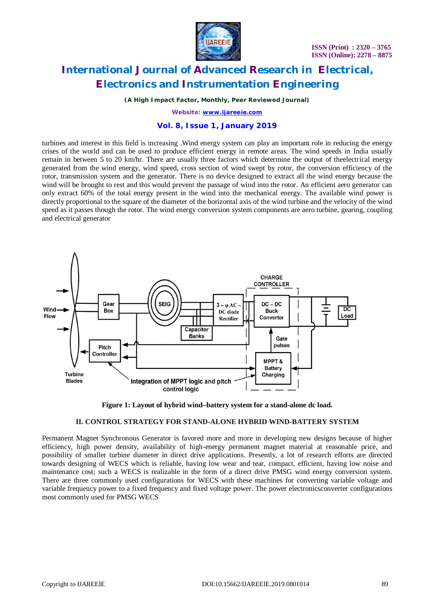

*(A High Impact Factor, Monthly, Peer Reviewed Journal)*

*Website: [www.ijareeie.com](http://www.ijareeie.com)*

### **Vol. 8, Issue 1, January 2019**

turbines and interest in this field is increasing .Wind energy system can play an important role in reducing the energy crises of the world and can be used to produce efficient energy in remote areas. The wind speeds in India usually remain in between 5 to 20 km/hr. There are usually three factors which determine the output of theelectrical energy generated from the wind energy, wind speed, cross section of wind swept by rotor, the conversion efficiency of the rotor, transmission system and the generator. There is no device designed to extract all the wind energy because the wind will be brought to rest and this would prevent the passage of wind into the rotor. An efficient aero generator can only extract 60% of the total energy present in the wind into the mechanical energy. The available wind power is directly proportional to the square of the diameter of the horizontal axis of the wind turbine and the velocity of the wind speed as it passes though the rotor. The wind energy conversion system components are aero turbine, gearing, coupling and electrical generator



**Figure 1: Layout of hybrid wind–battery system for a stand-alone dc load.**

### **II. CONTROL STRATEGY FOR STAND-ALONE HYBRID WIND-BATTERY SYSTEM**

Permanent Magnet Synchronous Generator is favored more and more in developing new designs because of higher efficiency, high power density, availability of high-energy permanent magnet material at reasonable price, and possibility of smaller turbine diameter in direct drive applications. Presently, a lot of research efforts are directed towards designing of WECS which is reliable, having low wear and tear, compact, efficient, having low noise and maintenance cost; such a WECS is realizable in the form of a direct drive PMSG wind energy conversion system. There are three commonly used configurations for WECS with these machines for converting variable voltage and variable frequency power to a fixed frequency and fixed voltage power. The power electronicsconverter configurations most commonly used for PMSG WECS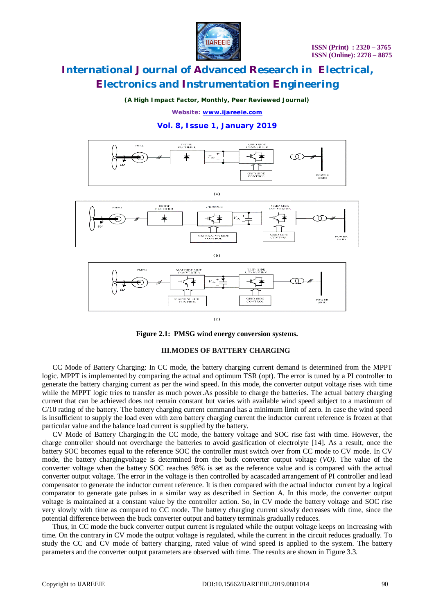

*(A High Impact Factor, Monthly, Peer Reviewed Journal)*

*Website: [www.ijareeie.com](http://www.ijareeie.com)*

### **Vol. 8, Issue 1, January 2019**



**Figure 2.1: PMSG wind energy conversion systems.**

#### **III.MODES OF BATTERY CHARGING**

CC Mode of Battery Charging: In CC mode, the battery charging current demand is determined from the MPPT logic. MPPT is implemented by comparing the actual and optimum TSR (*o*pt). The error is tuned by a PI controller to generate the battery charging current as per the wind speed. In this mode, the converter output voltage rises with time while the MPPT logic tries to transfer as much power. As possible to charge the batteries. The actual battery charging current that can be achieved does not remain constant but varies with available wind speed subject to a maximum of C/10 rating of the battery. The battery charging current command has a minimum limit of zero. In case the wind speed is insufficient to supply the load even with zero battery charging current the inductor current reference is frozen at that particular value and the balance load current is supplied by the battery.

CV Mode of Battery Charging:In the CC mode, the battery voltage and SOC rise fast with time. However, the charge controller should not overcharge the batteries to avoid gasification of electrolyte [14]. As a result, once the battery SOC becomes equal to the reference SOC the controller must switch over from CC mode to CV mode. In CV mode, the battery chargingvoltage is determined from the buck converter output voltage (*VO)*. The value of the converter voltage when the battery SOC reaches 98% is set as the reference value and is compared with the actual converter output voltage. The error in the voltage is then controlled by acascaded arrangement of PI controller and lead compensator to generate the inductor current reference. It is then compared with the actual inductor current by a logical comparator to generate gate pulses in a similar way as described in Section A. In this mode, the converter output voltage is maintained at a constant value by the controller action. So, in CV mode the battery voltage and SOC rise very slowly with time as compared to CC mode. The battery charging current slowly decreases with time, since the potential difference between the buck converter output and battery terminals gradually reduces.

Thus, in CC mode the buck converter output current is regulated while the output voltage keeps on increasing with time. On the contrary in CV mode the output voltage is regulated, while the current in the circuit reduces gradually. To study the CC and CV mode of battery charging, rated value of wind speed is applied to the system. The battery parameters and the converter output parameters are observed with time. The results are shown in Figure 3.3.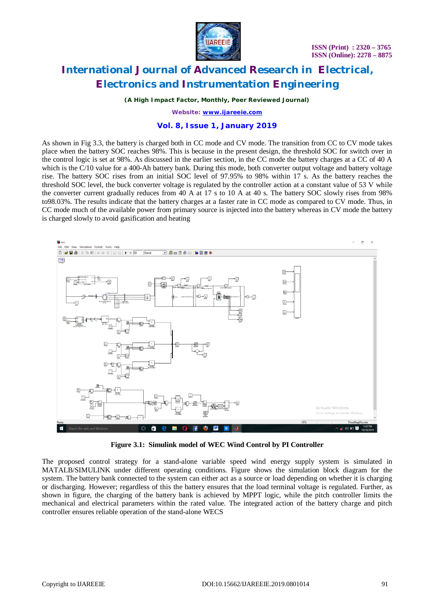

*(A High Impact Factor, Monthly, Peer Reviewed Journal)*

*Website: [www.ijareeie.com](http://www.ijareeie.com)*

### **Vol. 8, Issue 1, January 2019**

As shown in Fig 3.3, the battery is charged both in CC mode and CV mode. The transition from CC to CV mode takes place when the battery SOC reaches 98%. This is because in the present design, the threshold SOC for switch over in the control logic is set at 98%. As discussed in the earlier section, in the CC mode the battery charges at a CC of 40 A which is the C/10 value for a 400-Ah battery bank. During this mode, both converter output voltage and battery voltage rise. The battery SOC rises from an initial SOC level of 97.95% to 98% within 17 s. As the battery reaches the threshold SOC level, the buck converter voltage is regulated by the controller action at a constant value of 53 V while the converter current gradually reduces from 40 A at 17 s to 10 A at 40 s. The battery SOC slowly rises from 98% to98.03%. The results indicate that the battery charges at a faster rate in CC mode as compared to CV mode. Thus, in CC mode much of the available power from primary source is injected into the battery whereas in CV mode the battery is charged slowly to avoid gasification and heating



**Figure 3.1: Simulink model of WEC Wind Control by PI Controller**

The proposed control strategy for a stand-alone variable speed wind energy supply system is simulated in MATALB/SIMULINK under different operating conditions. Figure shows the simulation block diagram for the system. The battery bank connected to the system can either act as a source or load depending on whether it is charging or discharging. However; regardless of this the battery ensures that the load terminal voltage is regulated. Further, as shown in figure, the charging of the battery bank is achieved by MPPT logic, while the pitch controller limits the mechanical and electrical parameters within the rated value. The integrated action of the battery charge and pitch controller ensures reliable operation of the stand-alone WECS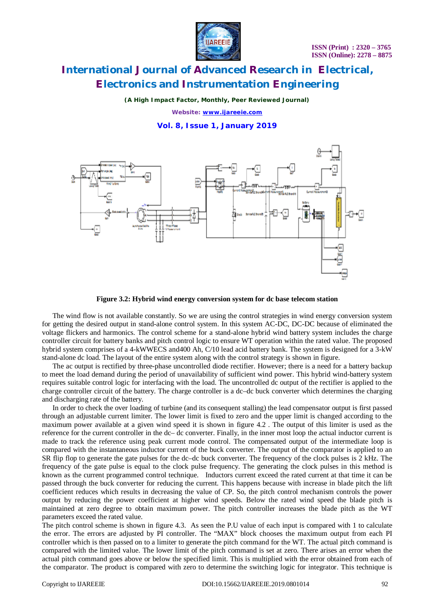

*(A High Impact Factor, Monthly, Peer Reviewed Journal) Website: [www.ijareeie.com](http://www.ijareeie.com)*

**Vol. 8, Issue 1, January 2019**



**Figure 3.2: Hybrid wind energy conversion system for dc base telecom station**

The wind flow is not available constantly. So we are using the control strategies in wind energy conversion system for getting the desired output in stand-alone control system. In this system AC-DC, DC-DC because of eliminated the voltage flickers and harmonics. The control scheme for a stand-alone hybrid wind battery system includes the charge controller circuit for battery banks and pitch control logic to ensure WT operation within the rated value. The proposed hybrid system comprises of a 4-kWWECS and400 Ah, C/10 lead acid battery bank. The system is designed for a 3-kW stand-alone dc load. The layout of the entire system along with the control strategy is shown in figure.

The ac output is rectified by three-phase uncontrolled diode rectifier. However; there is a need for a battery backup to meet the load demand during the period of unavailability of sufficient wind power. This hybrid wind-battery system requires suitable control logic for interfacing with the load. The uncontrolled dc output of the rectifier is applied to the charge controller circuit of the battery. The charge controller is a dc–dc buck converter which determines the charging and discharging rate of the battery.

In order to check the over loading of turbine (and its consequent stalling) the lead compensator output is first passed through an adjustable current limiter. The lower limit is fixed to zero and the upper limit is changed according to the maximum power available at a given wind speed it is shown in figure 4.2 . The output of this limiter is used as the reference for the current controller in the dc– dc converter. Finally, in the inner most loop the actual inductor current is made to track the reference using peak current mode control. The compensated output of the intermediate loop is compared with the instantaneous inductor current of the buck converter. The output of the comparator is applied to an SR flip flop to generate the gate pulses for the dc–dc buck converter. The frequency of the clock pulses is 2 kHz. The frequency of the gate pulse is equal to the clock pulse frequency. The generating the clock pulses in this method is known as the current programmed control technique. Inductors current exceed the rated current at that time it can be passed through the buck converter for reducing the current. This happens because with increase in blade pitch the lift coefficient reduces which results in decreasing the value of CP. So, the pitch control mechanism controls the power output by reducing the power coefficient at higher wind speeds. Below the rated wind speed the blade pitch is maintained at zero degree to obtain maximum power. The pitch controller increases the blade pitch as the WT parameters exceed the rated value.

The pitch control scheme is shown in figure 4.3. As seen the P.U value of each input is compared with 1 to calculate the error. The errors are adjusted by PI controller. The "MAX" block chooses the maximum output from each PI controller which is then passed on to a limiter to generate the pitch command for the WT. The actual pitch command is compared with the limited value. The lower limit of the pitch command is set at zero. There arises an error when the actual pitch command goes above or below the specified limit. This is multiplied with the error obtained from each of the comparator. The product is compared with zero to determine the switching logic for integrator. This technique is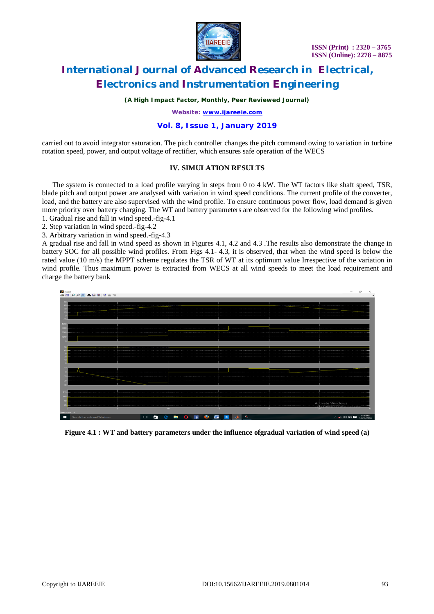

*(A High Impact Factor, Monthly, Peer Reviewed Journal)*

*Website: [www.ijareeie.com](http://www.ijareeie.com)*

### **Vol. 8, Issue 1, January 2019**

carried out to avoid integrator saturation. The pitch controller changes the pitch command owing to variation in turbine rotation speed, power, and output voltage of rectifier, which ensures safe operation of the WECS

### **IV. SIMULATION RESULTS**

The system is connected to a load profile varying in steps from 0 to 4 kW. The WT factors like shaft speed, TSR, blade pitch and output power are analysed with variation in wind speed conditions. The current profile of the converter, load, and the battery are also supervised with the wind profile. To ensure continuous power flow, load demand is given more priority over battery charging. The WT and battery parameters are observed for the following wind profiles.

1. Gradual rise and fall in wind speed.-fig-4.1

2. Step variation in wind speed.-fig-4.2

3. Arbitrary variation in wind speed.-fig-4.3

A gradual rise and fall in wind speed as shown in Figures 4.1, 4.2 and 4.3 .The results also demonstrate the change in battery SOC for all possible wind profiles. From Figs 4.1- 4.3, it is observed, that when the wind speed is below the rated value (10 m/s) the MPPT scheme regulates the TSR of WT at its optimum value Irrespective of the variation in wind profile. Thus maximum power is extracted from WECS at all wind speeds to meet the load requirement and charge the battery bank



**Figure 4.1 : WT and battery parameters under the influence ofgradual variation of wind speed (a)**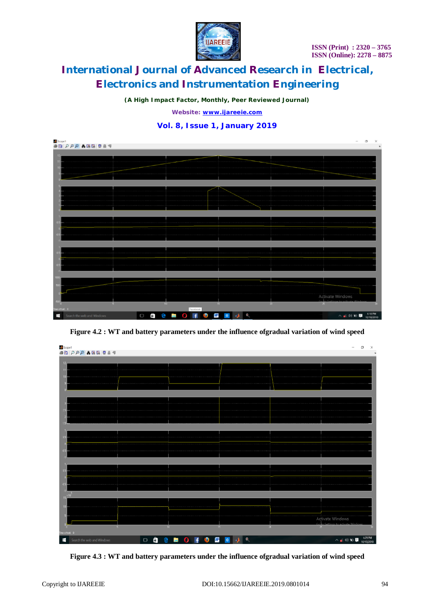

*(A High Impact Factor, Monthly, Peer Reviewed Journal)*

*Website: [www.ijareeie.com](http://www.ijareeie.com)*

### **Vol. 8, Issue 1, January 2019**



**Figure 4.2 : WT and battery parameters under the influence ofgradual variation of wind speed**



**Figure 4.3 : WT and battery parameters under the influence ofgradual variation of wind speed**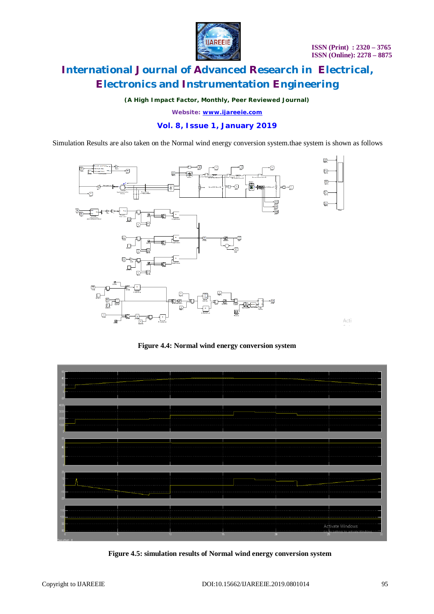

*(A High Impact Factor, Monthly, Peer Reviewed Journal)*

*Website: [www.ijareeie.com](http://www.ijareeie.com)*

### **Vol. 8, Issue 1, January 2019**

Simulation Results are also taken on the Normal wind energy conversion system.thae system is shown as follows



**Figure 4.4: Normal wind energy conversion system**



 **Figure 4.5: simulation results of Normal wind energy conversion system**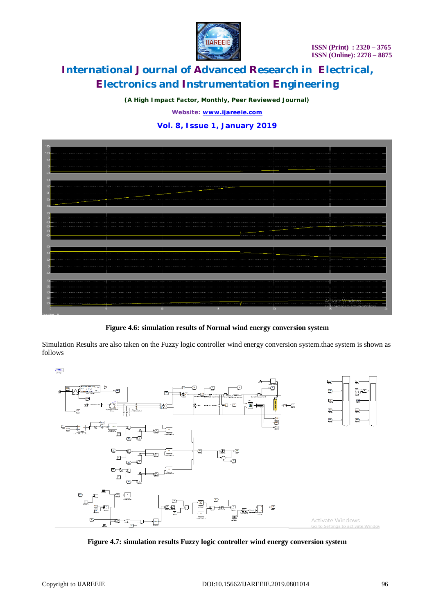

*(A High Impact Factor, Monthly, Peer Reviewed Journal)*

*Website: [www.ijareeie.com](http://www.ijareeie.com)*

### **Vol. 8, Issue 1, January 2019**



**Figure 4.6: simulation results of Normal wind energy conversion system**

Simulation Results are also taken on the Fuzzy logic controller wind energy conversion system.thae system is shown as follows

 $\frac{1}{2} \frac{1}{2} \frac{1}{2} \frac{1}{2} \frac{1}{2}$ 



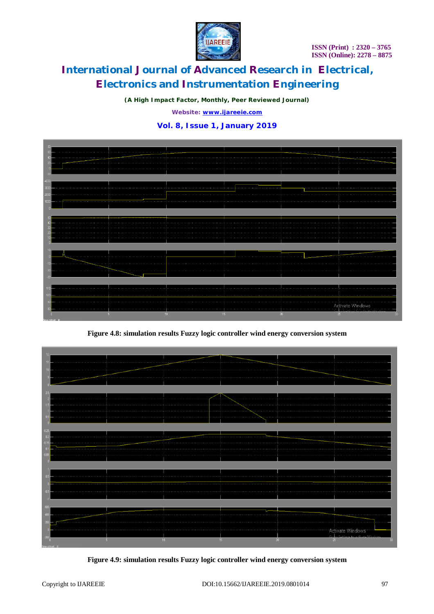

*(A High Impact Factor, Monthly, Peer Reviewed Journal)*

*Website: [www.ijareeie.com](http://www.ijareeie.com)*

## **Vol. 8, Issue 1, January 2019**



**Figure 4.8: simulation results Fuzzy logic controller wind energy conversion system**



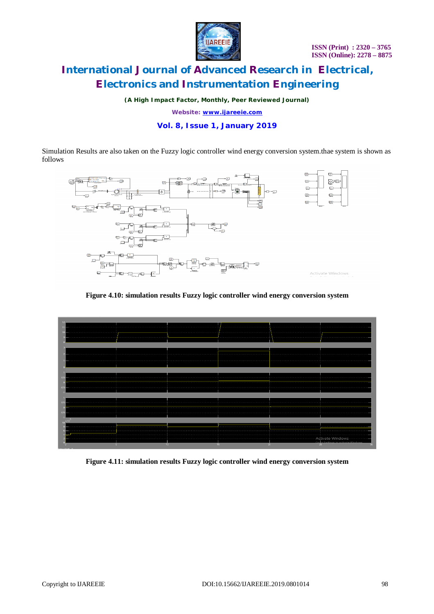

*(A High Impact Factor, Monthly, Peer Reviewed Journal)*

*Website: [www.ijareeie.com](http://www.ijareeie.com)*

### **Vol. 8, Issue 1, January 2019**

Simulation Results are also taken on the Fuzzy logic controller wind energy conversion system.thae system is shown as follows



### **Figure 4.10: simulation results Fuzzy logic controller wind energy conversion system**



**Figure 4.11: simulation results Fuzzy logic controller wind energy conversion system**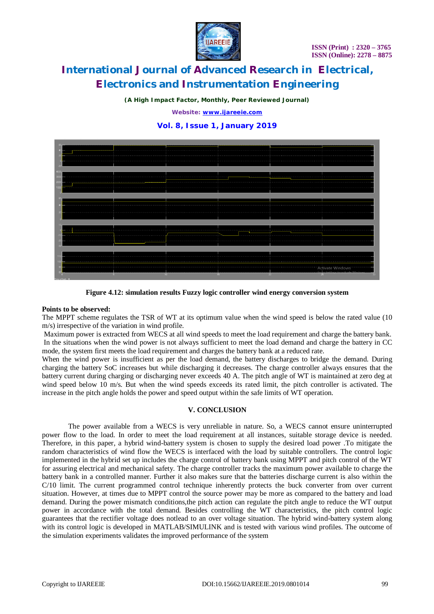

*(A High Impact Factor, Monthly, Peer Reviewed Journal)*

*Website: [www.ijareeie.com](http://www.ijareeie.com)*

### **Vol. 8, Issue 1, January 2019**



**Figure 4.12: simulation results Fuzzy logic controller wind energy conversion system**

### **Points to be observed:**

The MPPT scheme regulates the TSR of WT at its optimum value when the wind speed is below the rated value (10 m/s) irrespective of the variation in wind profile.

Maximum power is extracted from WECS at all wind speeds to meet the load requirement and charge the battery bank. In the situations when the wind power is not always sufficient to meet the load demand and charge the battery in CC mode, the system first meets the load requirement and charges the battery bank at a reduced rate.

When the wind power is insufficient as per the load demand, the battery discharges to bridge the demand. During charging the battery SoC increases but while discharging it decreases. The charge controller always ensures that the battery current during charging or discharging never exceeds 40 A. The pitch angle of WT is maintained at zero deg at wind speed below 10 m/s. But when the wind speeds exceeds its rated limit, the pitch controller is activated. The increase in the pitch angle holds the power and speed output within the safe limits of WT operation.

### **V. CONCLUSION**

The power available from a WECS is very unreliable in nature. So, a WECS cannot ensure uninterrupted power flow to the load. In order to meet the load requirement at all instances, suitable storage device is needed. Therefore, in this paper, a hybrid wind-battery system is chosen to supply the desired load power .To mitigate the random characteristics of wind flow the WECS is interfaced with the load by suitable controllers. The control logic implemented in the hybrid set up includes the charge control of battery bank using MPPT and pitch control of the WT for assuring electrical and mechanical safety. The charge controller tracks the maximum power available to charge the battery bank in a controlled manner. Further it also makes sure that the batteries discharge current is also within the C/10 limit. The current programmed control technique inherently protects the buck converter from over current situation. However, at times due to MPPT control the source power may be more as compared to the battery and load demand. During the power mismatch conditions,the pitch action can regulate the pitch angle to reduce the WT output power in accordance with the total demand. Besides controlling the WT characteristics, the pitch control logic guarantees that the rectifier voltage does notlead to an over voltage situation. The hybrid wind-battery system along with its control logic is developed in MATLAB/SIMULINK and is tested with various wind profiles. The outcome of the simulation experiments validates the improved performance of the system